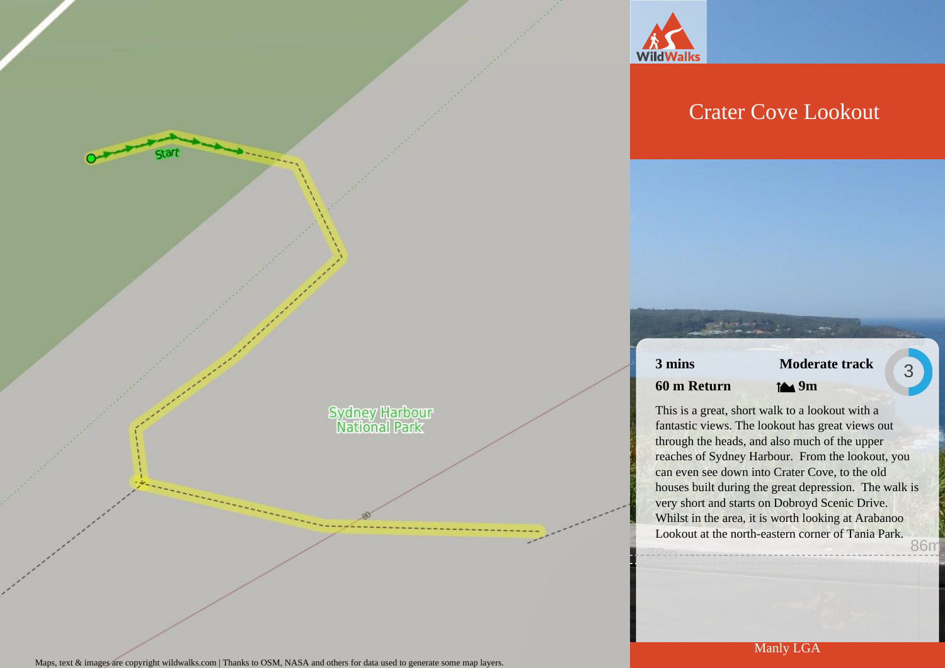

## Crater Cove Lookout

### **3 mins 60 m Return**

# **Moderate track**

3

**9m**

This is a great, short walk to a lookout with a fantastic views. The lookout has great views out through the heads, and also much of the upper reaches of Sydney Harbour. From the lookout, you can even see down into Crater Cove, to the old houses built during the great depression. The walk is very short and starts on Dobroyd Scenic Drive. Whilst in the area, it is worth looking at Arabanoo Lookout at the north-eastern corner of Tania Park. 78m 86m

**Sydney Harbour**<br>National Park

start